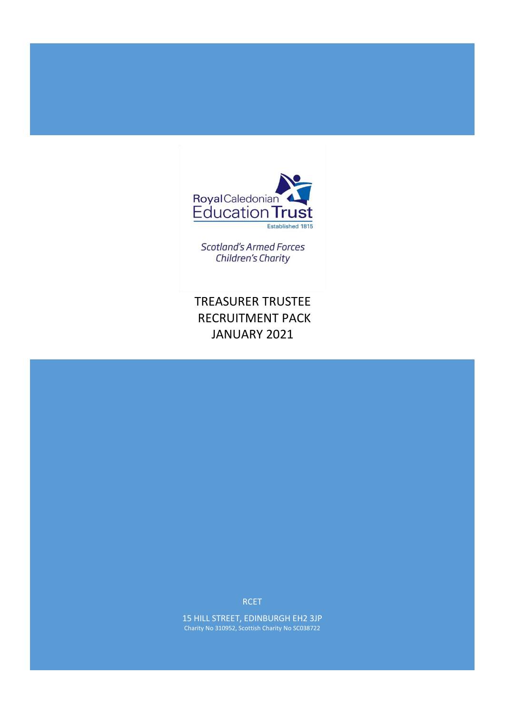

**Scotland's Armed Forces Children's Charity** 

TREASURER TRUSTEE RECRUITMENT PACK JANUARY 2021

RCET

15 HILL STREET, EDINBURGH EH2 3JP Charity No 310952, Scottish Charity No SC038722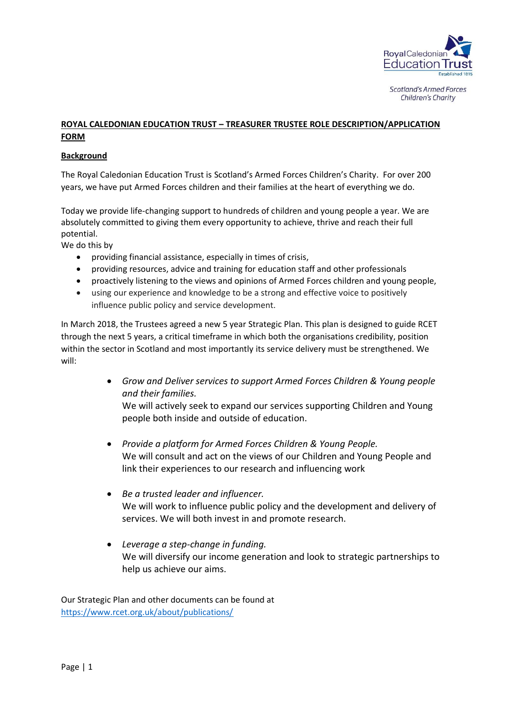

**Scotland's Armed Forces** Children's Charity

# **ROYAL CALEDONIAN EDUCATION TRUST – TREASURER TRUSTEE ROLE DESCRIPTION/APPLICATION FORM**

# **Background**

The Royal Caledonian Education Trust is Scotland's Armed Forces Children's Charity. For over 200 years, we have put Armed Forces children and their families at the heart of everything we do.

Today we provide life-changing support to hundreds of children and young people a year. We are absolutely committed to giving them every opportunity to achieve, thrive and reach their full potential.

We do this by

- providing financial assistance, especially in times of crisis,
- providin[g resources, advice and training for e](https://www.rcet.org.uk/help/we-help-teaching/)ducation staff and other professionals
- proactively listening to the views and opinions of Armed Forces children and young people,
- using our experience and knowledge to be a strong and effective voice to positively influence public policy and service development.

In March 2018, the Trustees agreed a new 5 year Strategic Plan. This plan is designed to guide RCET through the next 5 years, a critical timeframe in which both the organisations credibility, position within the sector in Scotland and most importantly its service delivery must be strengthened. We will:

> • *Grow and Deliver services to support Armed Forces Children & Young people and their families.*

We will actively seek to expand our services supporting Children and Young people both inside and outside of education.

- *Provide a platform for Armed Forces Children & Young People.* We will consult and act on the views of our Children and Young People and link their experiences to our research and influencing work
- *Be a trusted leader and influencer.*  We will work to influence public policy and the development and delivery of services. We will both invest in and promote research.
- *Leverage a step-change in funding.* We will diversify our income generation and look to strategic partnerships to help us achieve our aims.

Our Strategic Plan and other documents can be found at <https://www.rcet.org.uk/about/publications/>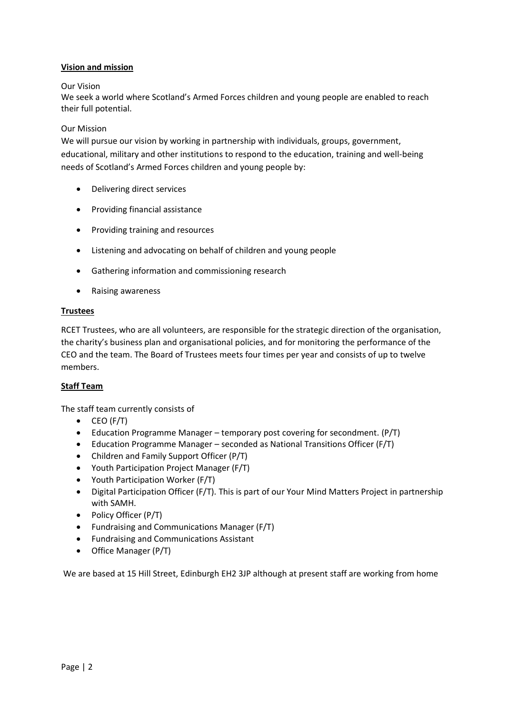# **Vision and mission**

## Our Vision

We seek a world where Scotland's Armed Forces children and young people are enabled to reach their full potential.

### Our Mission

We will pursue our vision by working in partnership with individuals, groups, government, educational, military and other institutions to respond to the education, training and well-being needs of Scotland's Armed Forces children and young people by:

- Delivering direct services
- Providing financial assistance
- Providing training and resources
- Listening and advocating on behalf of children and young people
- Gathering information and commissioning research
- Raising awareness

## **Trustees**

RCET Trustees, who are all volunteers, are responsible for the strategic direction of the organisation, the charity's business plan and organisational policies, and for monitoring the performance of the CEO and the team. The Board of Trustees meets four times per year and consists of up to twelve members.

## **Staff Team**

The staff team currently consists of

- $\bullet$  CEO (F/T)
- Education Programme Manager temporary post covering for secondment. (P/T)
- Education Programme Manager seconded as National Transitions Officer (F/T)
- Children and Family Support Officer (P/T)
- Youth Participation Project Manager (F/T)
- Youth Participation Worker (F/T)
- Digital Participation Officer (F/T). This is part of our Your Mind Matters Project in partnership with SAMH.
- Policy Officer (P/T)
- Fundraising and Communications Manager (F/T)
- Fundraising and Communications Assistant
- Office Manager (P/T)

We are based at 15 Hill Street, Edinburgh EH2 3JP although at present staff are working from home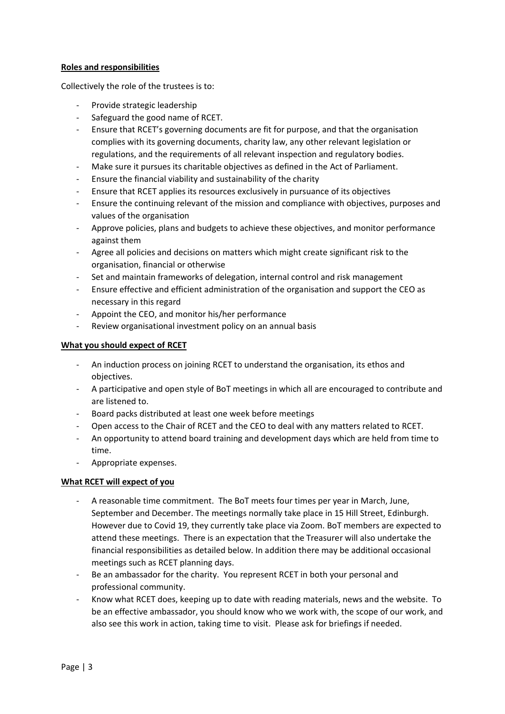# **Roles and responsibilities**

Collectively the role of the trustees is to:

- Provide strategic leadership
- Safeguard the good name of RCET.
- Ensure that RCET's governing documents are fit for purpose, and that the organisation complies with its governing documents, charity law, any other relevant legislation or regulations, and the requirements of all relevant inspection and regulatory bodies.
- Make sure it pursues its charitable objectives as defined in the Act of Parliament.
- Ensure the financial viability and sustainability of the charity
- Ensure that RCET applies its resources exclusively in pursuance of its objectives
- Ensure the continuing relevant of the mission and compliance with objectives, purposes and values of the organisation
- Approve policies, plans and budgets to achieve these objectives, and monitor performance against them
- Agree all policies and decisions on matters which might create significant risk to the organisation, financial or otherwise
- Set and maintain frameworks of delegation, internal control and risk management
- Ensure effective and efficient administration of the organisation and support the CEO as necessary in this regard
- Appoint the CEO, and monitor his/her performance
- Review organisational investment policy on an annual basis

# **What you should expect of RCET**

- An induction process on joining RCET to understand the organisation, its ethos and objectives.
- A participative and open style of BoT meetings in which all are encouraged to contribute and are listened to.
- Board packs distributed at least one week before meetings
- Open access to the Chair of RCET and the CEO to deal with any matters related to RCET.
- An opportunity to attend board training and development days which are held from time to time.
- Appropriate expenses.

## **What RCET will expect of you**

- A reasonable time commitment. The BoT meets four times per year in March, June, September and December. The meetings normally take place in 15 Hill Street, Edinburgh. However due to Covid 19, they currently take place via Zoom. BoT members are expected to attend these meetings. There is an expectation that the Treasurer will also undertake the financial responsibilities as detailed below. In addition there may be additional occasional meetings such as RCET planning days.
- Be an ambassador for the charity. You represent RCET in both your personal and professional community.
- Know what RCET does, keeping up to date with reading materials, news and the website. To be an effective ambassador, you should know who we work with, the scope of our work, and also see this work in action, taking time to visit. Please ask for briefings if needed.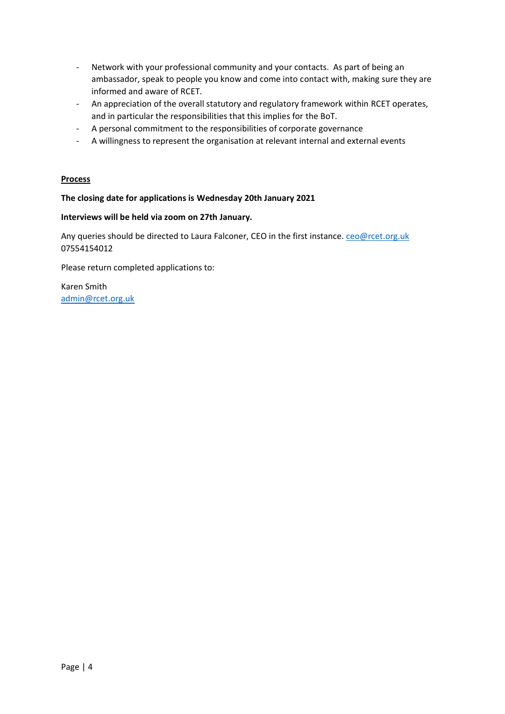- Network with your professional community and your contacts. As part of being an ambassador, speak to people you know and come into contact with, making sure they are informed and aware of RCET.
- An appreciation of the overall statutory and regulatory framework within RCET operates, and in particular the responsibilities that this implies for the BoT.
- A personal commitment to the responsibilities of corporate governance
- A willingness to represent the organisation at relevant internal and external events

## **Process**

## **The closing date for applications is Wednesday 20th January 2021**

## **Interviews will be held via zoom on 27th January.**

Any queries should be directed to Laura Falconer, CEO in the first instance. ceo@rcet.org.uk 07554154012

Please return completed applications to:

Karen Smith [admin@rcet.org.uk](mailto:admin@rcet.org.uk)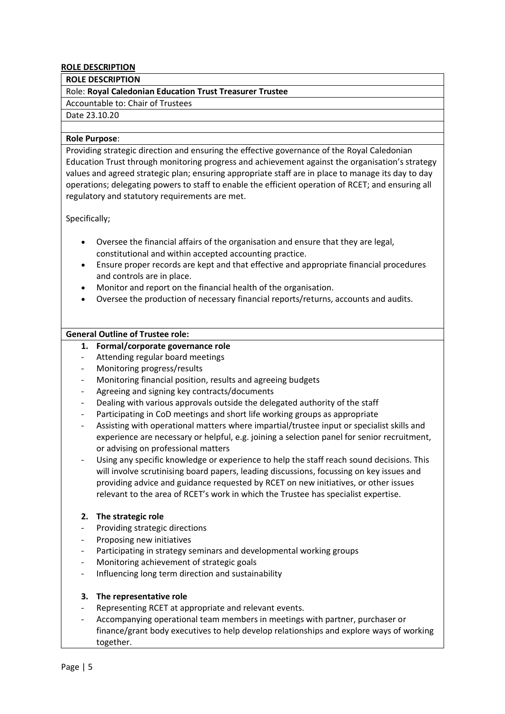### **ROLE DESCRIPTION**

#### **ROLE DESCRIPTION**

### Role: **Royal Caledonian Education Trust Treasurer Trustee**

Accountable to: Chair of Trustees

#### Date 23.10.20

#### **Role Purpose**:

Providing strategic direction and ensuring the effective governance of the Royal Caledonian Education Trust through monitoring progress and achievement against the organisation's strategy values and agreed strategic plan; ensuring appropriate staff are in place to manage its day to day operations; delegating powers to staff to enable the efficient operation of RCET; and ensuring all regulatory and statutory requirements are met.

Specifically;

- Oversee the financial affairs of the organisation and ensure that they are legal, constitutional and within accepted accounting practice.
- Ensure proper records are kept and that effective and appropriate financial procedures and controls are in place.
- Monitor and report on the financial health of the organisation.
- Oversee the production of necessary financial reports/returns, accounts and audits.

## **General Outline of Trustee role:**

## **1. Formal/corporate governance role**

- Attending regular board meetings
- Monitoring progress/results
- Monitoring financial position, results and agreeing budgets
- Agreeing and signing key contracts/documents
- Dealing with various approvals outside the delegated authority of the staff
- Participating in CoD meetings and short life working groups as appropriate
- Assisting with operational matters where impartial/trustee input or specialist skills and experience are necessary or helpful, e.g. joining a selection panel for senior recruitment, or advising on professional matters
- Using any specific knowledge or experience to help the staff reach sound decisions. This will involve scrutinising board papers, leading discussions, focussing on key issues and providing advice and guidance requested by RCET on new initiatives, or other issues relevant to the area of RCET's work in which the Trustee has specialist expertise.

## **2. The strategic role**

- Providing strategic directions
- Proposing new initiatives
- Participating in strategy seminars and developmental working groups
- Monitoring achievement of strategic goals
- Influencing long term direction and sustainability

## **3. The representative role**

- Representing RCET at appropriate and relevant events.
- Accompanying operational team members in meetings with partner, purchaser or finance/grant body executives to help develop relationships and explore ways of working together.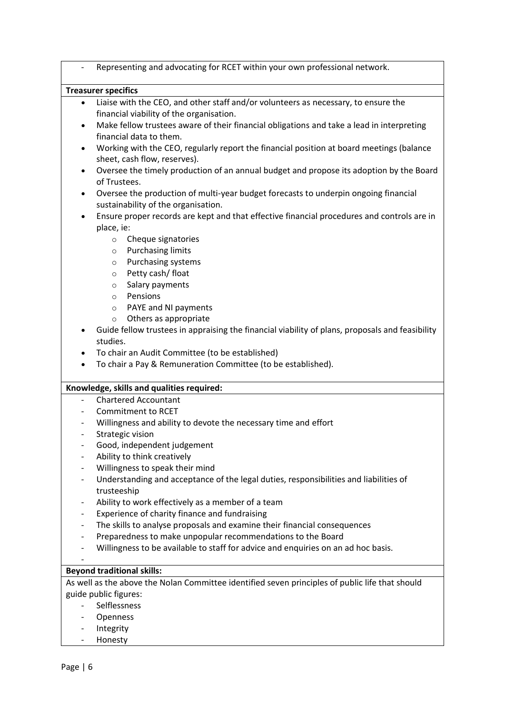|                                                          | Representing and advocating for RCET within your own professional network.                                                 |
|----------------------------------------------------------|----------------------------------------------------------------------------------------------------------------------------|
|                                                          | <b>Treasurer specifics</b>                                                                                                 |
| $\bullet$                                                | Liaise with the CEO, and other staff and/or volunteers as necessary, to ensure the                                         |
|                                                          | financial viability of the organisation.                                                                                   |
| $\bullet$                                                | Make fellow trustees aware of their financial obligations and take a lead in interpreting                                  |
|                                                          | financial data to them.                                                                                                    |
| $\bullet$                                                | Working with the CEO, regularly report the financial position at board meetings (balance<br>sheet, cash flow, reserves).   |
| $\bullet$                                                | Oversee the timely production of an annual budget and propose its adoption by the Board<br>of Trustees.                    |
| $\bullet$                                                | Oversee the production of multi-year budget forecasts to underpin ongoing financial<br>sustainability of the organisation. |
| $\bullet$                                                | Ensure proper records are kept and that effective financial procedures and controls are in                                 |
|                                                          | place, ie:                                                                                                                 |
|                                                          | Cheque signatories<br>$\circ$                                                                                              |
|                                                          | <b>Purchasing limits</b><br>$\circ$                                                                                        |
|                                                          | Purchasing systems<br>$\circ$                                                                                              |
|                                                          | Petty cash/ float<br>$\circ$                                                                                               |
|                                                          | Salary payments<br>$\circ$                                                                                                 |
|                                                          | Pensions<br>$\circ$                                                                                                        |
|                                                          | PAYE and NI payments<br>$\circ$                                                                                            |
|                                                          | Others as appropriate<br>$\circ$                                                                                           |
|                                                          | Guide fellow trustees in appraising the financial viability of plans, proposals and feasibility                            |
|                                                          | studies.                                                                                                                   |
| $\bullet$                                                | To chair an Audit Committee (to be established)                                                                            |
| ٠                                                        | To chair a Pay & Remuneration Committee (to be established).                                                               |
|                                                          |                                                                                                                            |
| $\overline{\phantom{a}}$                                 | Knowledge, skills and qualities required:<br><b>Chartered Accountant</b>                                                   |
|                                                          | <b>Commitment to RCET</b>                                                                                                  |
|                                                          |                                                                                                                            |
|                                                          | Willingness and ability to devote the necessary time and effort                                                            |
| $\overline{\phantom{a}}$<br>$\qquad \qquad \blacksquare$ | Strategic vision<br>Good, independent judgement                                                                            |
| $\overline{\phantom{a}}$                                 | Ability to think creatively                                                                                                |
| $\overline{\phantom{a}}$                                 | Willingness to speak their mind                                                                                            |
| $\overline{\phantom{a}}$                                 | Understanding and acceptance of the legal duties, responsibilities and liabilities of                                      |
|                                                          | trusteeship                                                                                                                |
|                                                          |                                                                                                                            |
| $\overline{\phantom{a}}$                                 | Ability to work effectively as a member of a team                                                                          |
| $\overline{\phantom{a}}$                                 | Experience of charity finance and fundraising                                                                              |
| -                                                        | The skills to analyse proposals and examine their financial consequences                                                   |
| $\overline{\phantom{a}}$                                 | Preparedness to make unpopular recommendations to the Board                                                                |
|                                                          | Willingness to be available to staff for advice and enquiries on an ad hoc basis.                                          |
|                                                          | <b>Beyond traditional skills:</b>                                                                                          |
|                                                          | As well as the above the Nolan Committee identified seven principles of public life that should                            |
|                                                          | guide public figures:                                                                                                      |
|                                                          | Selflessness                                                                                                               |
|                                                          | Openness                                                                                                                   |
|                                                          |                                                                                                                            |

- Integrity
- Honesty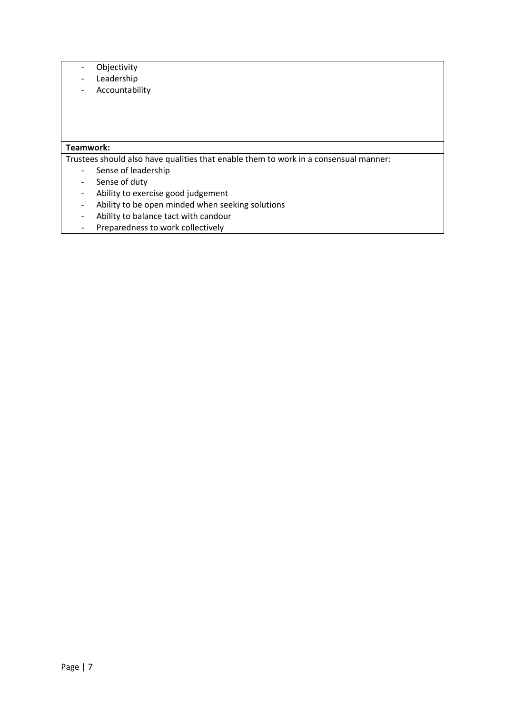- Objectivity
- Leadership
- Accountability

## **Teamwork:**

Trustees should also have qualities that enable them to work in a consensual manner:

- Sense of leadership
- Sense of duty
- Ability to exercise good judgement
- Ability to be open minded when seeking solutions
- Ability to balance tact with candour
- Preparedness to work collectively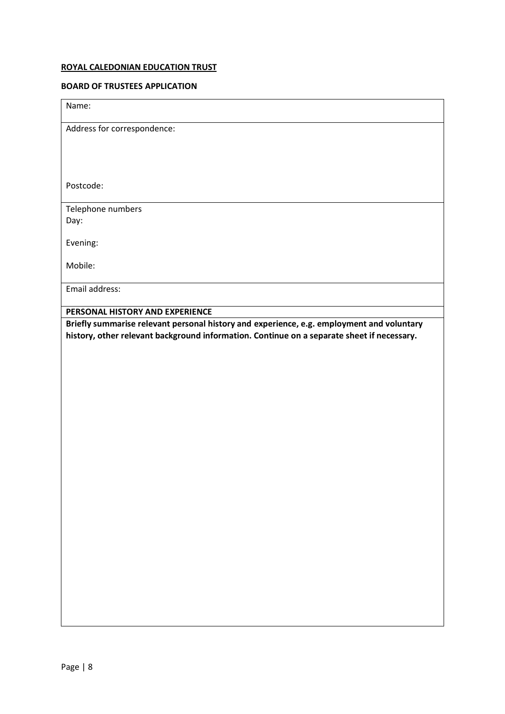## **ROYAL CALEDONIAN EDUCATION TRUST**

#### **BOARD OF TRUSTEES APPLICATION**

| Name: |  |
|-------|--|
|       |  |

Address for correspondence:

Postcode:

Telephone numbers Day:

Evening:

Mobile:

Email address:

**PERSONAL HISTORY AND EXPERIENCE**

**Briefly summarise relevant personal history and experience, e.g. employment and voluntary history, other relevant background information. Continue on a separate sheet if necessary.**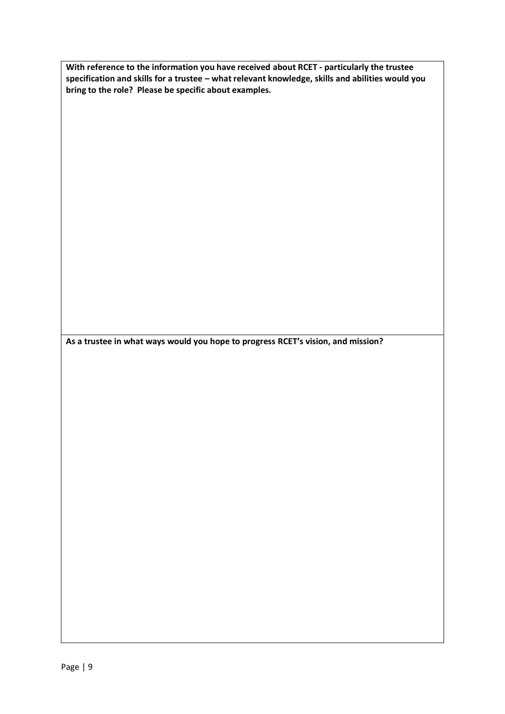**With reference to the information you have received about RCET - particularly the trustee specification and skills for a trustee – what relevant knowledge, skills and abilities would you bring to the role? Please be specific about examples.**

**As a trustee in what ways would you hope to progress RCET's vision, and mission?**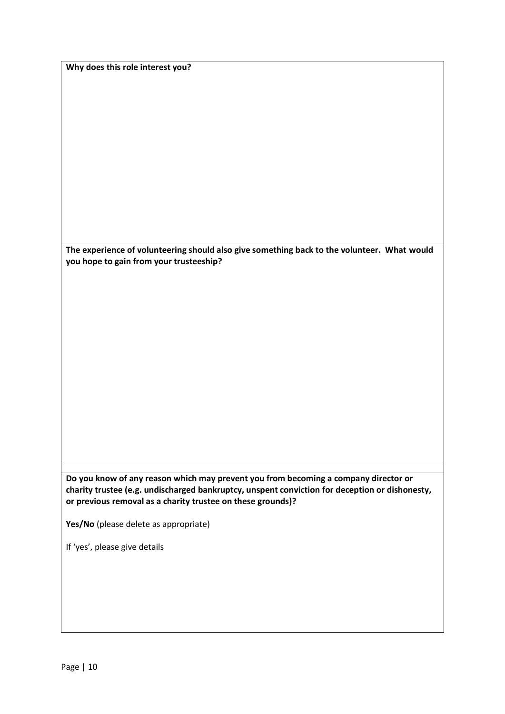| Why does this role interest you? |  |  |  |
|----------------------------------|--|--|--|
|----------------------------------|--|--|--|

**The experience of volunteering should also give something back to the volunteer. What would you hope to gain from your trusteeship?**

**Do you know of any reason which may prevent you from becoming a company director or charity trustee (e.g. undischarged bankruptcy, unspent conviction for deception or dishonesty, or previous removal as a charity trustee on these grounds)?**

**Yes/No** (please delete as appropriate)

If 'yes', please give details